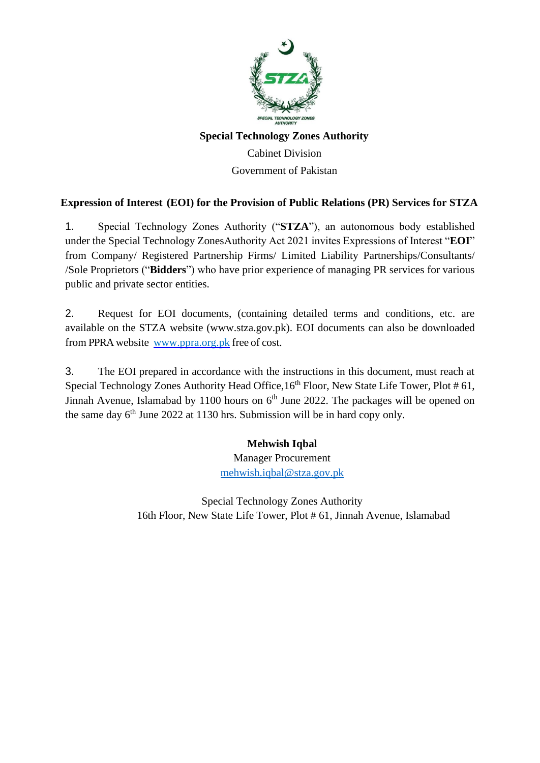

# **Special Technology Zones Authority**

Cabinet Division Government of Pakistan

# **Expression of Interest (EOI) for the Provision of Public Relations (PR) Services for STZA**

1. Special Technology Zones Authority ("**STZA**"), an autonomous body established under the Special Technology ZonesAuthority Act 2021 invites Expressions of Interest "**EOI**" from Company/ Registered Partnership Firms/ Limited Liability Partnerships/Consultants/ /Sole Proprietors ("**Bidders**") who have prior experience of managing PR services for various public and private sector entities.

2. Request for EOI documents, (containing detailed terms and conditions, etc. are available on the STZA website (www.stza.gov.pk). EOI documents can also be downloaded from PPRA website [www.ppra.org.pk](http://www.ppra.org.pk/) free of cost.

3. The EOI prepared in accordance with the instructions in this document, must reach at Special Technology Zones Authority Head Office,  $16<sup>th</sup>$  Floor, New State Life Tower, Plot # 61, Jinnah Avenue, Islamabad by 1100 hours on  $6<sup>th</sup>$  June 2022. The packages will be opened on the same day  $6<sup>th</sup>$  June 2022 at 1130 hrs. Submission will be in hard copy only.

# **Mehwish Iqbal**

Manager Procurement [mehwish.iqbal@stza.gov.pk](mailto:mehwish.iqbal@stza.gov.pk)

Special Technology Zones Authority 16th Floor, New State Life Tower, Plot # 61, Jinnah Avenue, Islamabad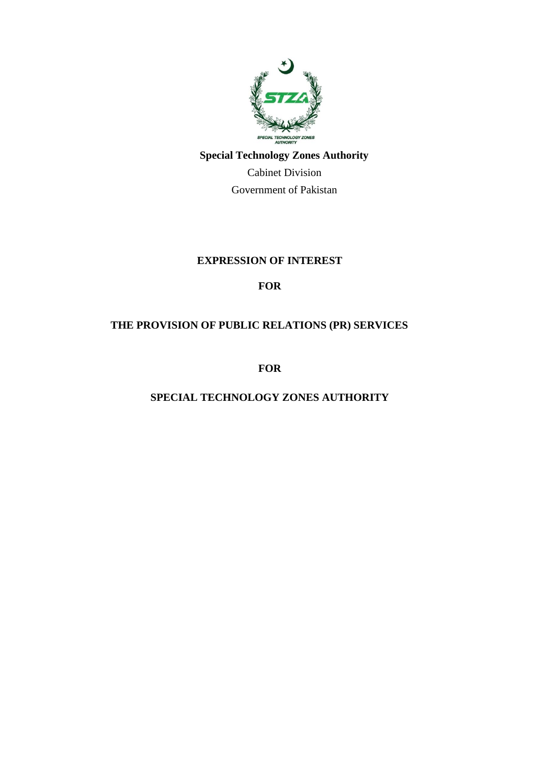

**Special Technology Zones Authority**  Cabinet Division Government of Pakistan

## **EXPRESSION OF INTEREST**

# **FOR**

# **THE PROVISION OF PUBLIC RELATIONS (PR) SERVICES**

**FOR**

**SPECIAL TECHNOLOGY ZONES AUTHORITY**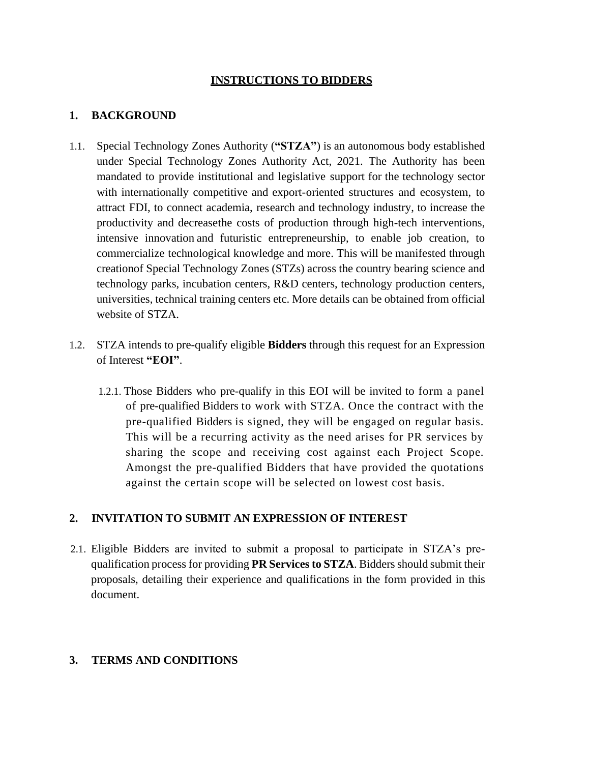### **INSTRUCTIONS TO BIDDERS**

### **1. BACKGROUND**

- 1.1. Special Technology Zones Authority (**"STZA"**) is an autonomous body established under Special Technology Zones Authority Act, 2021. The Authority has been mandated to provide institutional and legislative support for the technology sector with internationally competitive and export-oriented structures and ecosystem, to attract FDI, to connect academia, research and technology industry, to increase the productivity and decreasethe costs of production through high-tech interventions, intensive innovation and futuristic entrepreneurship, to enable job creation, to commercialize technological knowledge and more. This will be manifested through creationof Special Technology Zones (STZs) across the country bearing science and technology parks, incubation centers, R&D centers, technology production centers, universities, technical training centers etc. More details can be obtained from official website of STZA.
- 1.2. STZA intends to pre-qualify eligible **Bidders** through this request for an Expression of Interest **"EOI"**.
	- 1.2.1. Those Bidders who pre-qualify in this EOI will be invited to form a panel of pre-qualified Bidders to work with STZA. Once the contract with the pre-qualified Bidders is signed, they will be engaged on regular basis. This will be a recurring activity as the need arises for PR services by sharing the scope and receiving cost against each Project Scope. Amongst the pre-qualified Bidders that have provided the quotations against the certain scope will be selected on lowest cost basis.

### **2. INVITATION TO SUBMIT AN EXPRESSION OF INTEREST**

2.1. Eligible Bidders are invited to submit a proposal to participate in STZA's prequalification process for providing **PR Services to STZA**. Bidders should submit their proposals, detailing their experience and qualifications in the form provided in this document.

#### **3. TERMS AND CONDITIONS**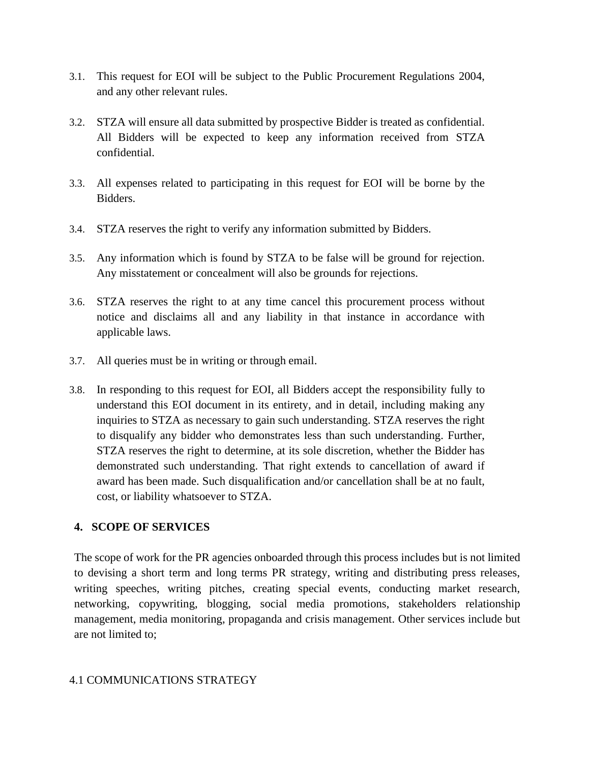- 3.1. This request for EOI will be subject to the Public Procurement Regulations 2004, and any other relevant rules.
- 3.2. STZA will ensure all data submitted by prospective Bidder is treated as confidential. All Bidders will be expected to keep any information received from STZA confidential.
- 3.3. All expenses related to participating in this request for EOI will be borne by the Bidders.
- 3.4. STZA reserves the right to verify any information submitted by Bidders.
- 3.5. Any information which is found by STZA to be false will be ground for rejection. Any misstatement or concealment will also be grounds for rejections.
- 3.6. STZA reserves the right to at any time cancel this procurement process without notice and disclaims all and any liability in that instance in accordance with applicable laws.
- 3.7. All queries must be in writing or through email.
- 3.8. In responding to this request for EOI, all Bidders accept the responsibility fully to understand this EOI document in its entirety, and in detail, including making any inquiries to STZA as necessary to gain such understanding. STZA reserves the right to disqualify any bidder who demonstrates less than such understanding. Further, STZA reserves the right to determine, at its sole discretion, whether the Bidder has demonstrated such understanding. That right extends to cancellation of award if award has been made. Such disqualification and/or cancellation shall be at no fault, cost, or liability whatsoever to STZA.

## **4. SCOPE OF SERVICES**

The scope of work for the PR agencies onboarded through this process includes but is not limited to devising a short term and long terms PR strategy, writing and distributing press releases, writing speeches, writing pitches, creating special events, conducting market research, networking, copywriting, blogging, social media promotions, stakeholders relationship management, media monitoring, propaganda and crisis management. Other services include but are not limited to;

### 4.1 COMMUNICATIONS STRATEGY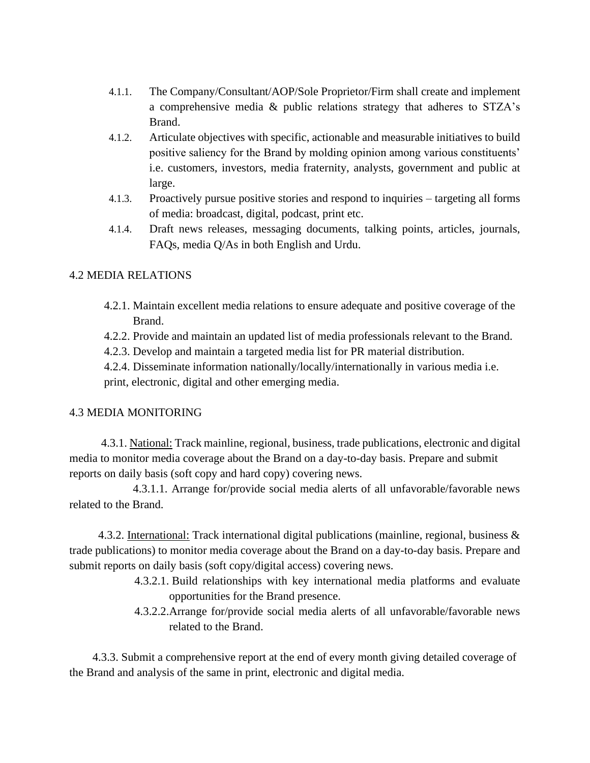- 4.1.1. The Company/Consultant/AOP/Sole Proprietor/Firm shall create and implement a comprehensive media & public relations strategy that adheres to STZA's Brand.
- 4.1.2. Articulate objectives with specific, actionable and measurable initiatives to build positive saliency for the Brand by molding opinion among various constituents' i.e. customers, investors, media fraternity, analysts, government and public at large.
- 4.1.3. Proactively pursue positive stories and respond to inquiries targeting all forms of media: broadcast, digital, podcast, print etc.
- 4.1.4. Draft news releases, messaging documents, talking points, articles, journals, FAQs, media Q/As in both English and Urdu.

## 4.2 MEDIA RELATIONS

- 4.2.1. Maintain excellent media relations to ensure adequate and positive coverage of the Brand.
- 4.2.2. Provide and maintain an updated list of media professionals relevant to the Brand.
- 4.2.3. Develop and maintain a targeted media list for PR material distribution.
- 4.2.4. Disseminate information nationally/locally/internationally in various media i.e.

print, electronic, digital and other emerging media.

### 4.3 MEDIA MONITORING

 4.3.1. National: Track mainline, regional, business, trade publications, electronic and digital media to monitor media coverage about the Brand on a day-to-day basis. Prepare and submit reports on daily basis (soft copy and hard copy) covering news.

 4.3.1.1. Arrange for/provide social media alerts of all unfavorable/favorable news related to the Brand.

4.3.2. International: Track international digital publications (mainline, regional, business & trade publications) to monitor media coverage about the Brand on a day-to-day basis. Prepare and submit reports on daily basis (soft copy/digital access) covering news.

- 4.3.2.1. Build relationships with key international media platforms and evaluate opportunities for the Brand presence.
- 4.3.2.2.Arrange for/provide social media alerts of all unfavorable/favorable news related to the Brand.

 4.3.3. Submit a comprehensive report at the end of every month giving detailed coverage of the Brand and analysis of the same in print, electronic and digital media.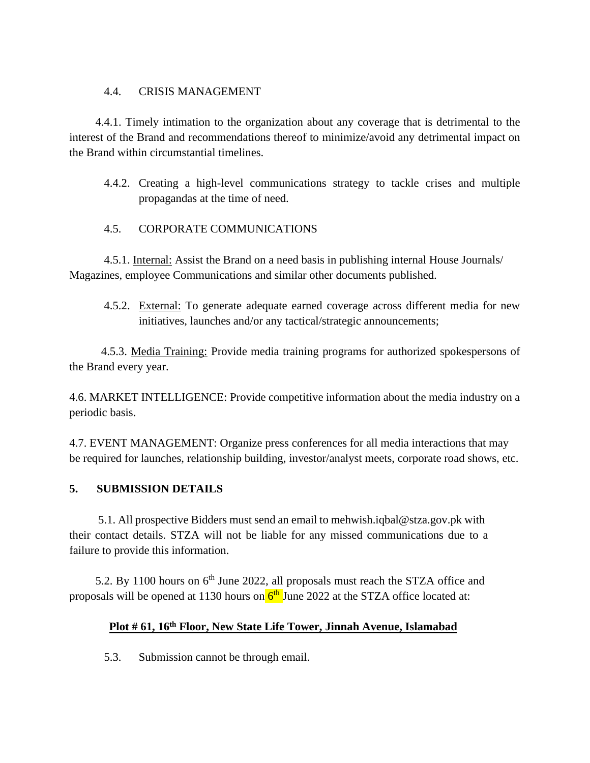### 4.4. CRISIS MANAGEMENT

 4.4.1. Timely intimation to the organization about any coverage that is detrimental to the interest of the Brand and recommendations thereof to minimize/avoid any detrimental impact on the Brand within circumstantial timelines.

4.4.2. Creating a high-level communications strategy to tackle crises and multiple propagandas at the time of need.

# 4.5. CORPORATE COMMUNICATIONS

4.5.1. Internal: Assist the Brand on a need basis in publishing internal House Journals/ Magazines, employee Communications and similar other documents published.

4.5.2. External: To generate adequate earned coverage across different media for new initiatives, launches and/or any tactical/strategic announcements;

 4.5.3. Media Training: Provide media training programs for authorized spokespersons of the Brand every year.

4.6. MARKET INTELLIGENCE: Provide competitive information about the media industry on a periodic basis.

4.7. EVENT MANAGEMENT: Organize press conferences for all media interactions that may be required for launches, relationship building, investor/analyst meets, corporate road shows, etc.

## **5. SUBMISSION DETAILS**

 5.1. All prospective Bidders must send an email t[o mehwish.iqbal@stza.gov.pk w](mailto:info@stza.gov.pk)ith their contact details. STZA will not be liable for any missed communications due to a failure to provide this information.

5.2. By 1100 hours on  $6<sup>th</sup>$  June 2022, all proposals must reach the STZA office and proposals will be opened at 1130 hours on  $6<sup>th</sup>$  June 2022 at the STZA office located at:

## **Plot # 61, 16th Floor, New State Life Tower, Jinnah Avenue, Islamabad**

5.3. Submission cannot be through email.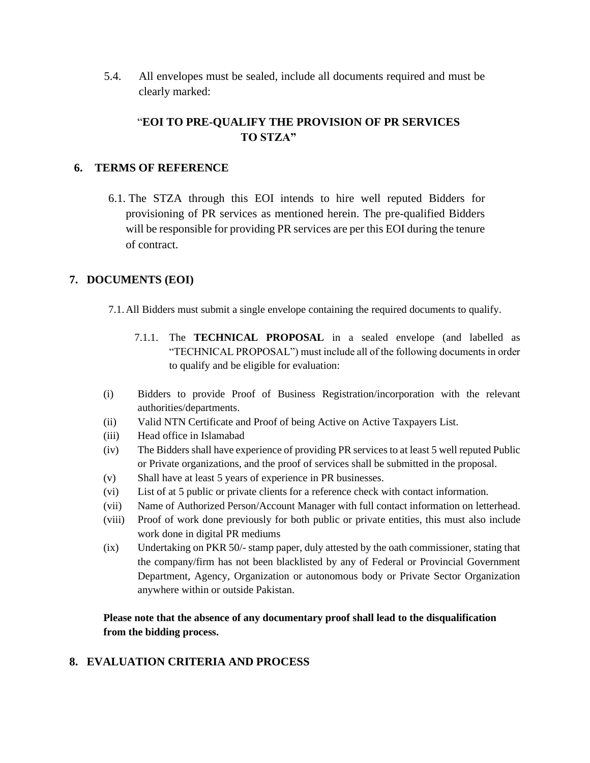5.4. All envelopes must be sealed, include all documents required and must be clearly marked:

# "**EOI TO PRE-QUALIFY THE PROVISION OF PR SERVICES TO STZA"**

### **6. TERMS OF REFERENCE**

6.1. The STZA through this EOI intends to hire well reputed Bidders for provisioning of PR services as mentioned herein. The pre-qualified Bidders will be responsible for providing PR services are per this EOI during the tenure of contract.

# **7. DOCUMENTS (EOI)**

- 7.1.All Bidders must submit a single envelope containing the required documents to qualify.
	- 7.1.1. The **TECHNICAL PROPOSAL** in a sealed envelope (and labelled as "TECHNICAL PROPOSAL") must include all of the following documents in order to qualify and be eligible for evaluation:
- (i) Bidders to provide Proof of Business Registration/incorporation with the relevant authorities/departments.
- (ii) Valid NTN Certificate and Proof of being Active on Active Taxpayers List.
- (iii) Head office in Islamabad
- (iv) The Bidders shall have experience of providing PR services to at least 5 well reputed Public or Private organizations, and the proof of services shall be submitted in the proposal.
- (v) Shall have at least 5 years of experience in PR businesses.
- (vi) List of at 5 public or private clients for a reference check with contact information.
- (vii) Name of Authorized Person/Account Manager with full contact information on letterhead.
- (viii) Proof of work done previously for both public or private entities, this must also include work done in digital PR mediums
- (ix) Undertaking on PKR 50/- stamp paper, duly attested by the oath commissioner, stating that the company/firm has not been blacklisted by any of Federal or Provincial Government Department, Agency, Organization or autonomous body or Private Sector Organization anywhere within or outside Pakistan.

**Please note that the absence of any documentary proof shall lead to the disqualification from the bidding process.**

## **8. EVALUATION CRITERIA AND PROCESS**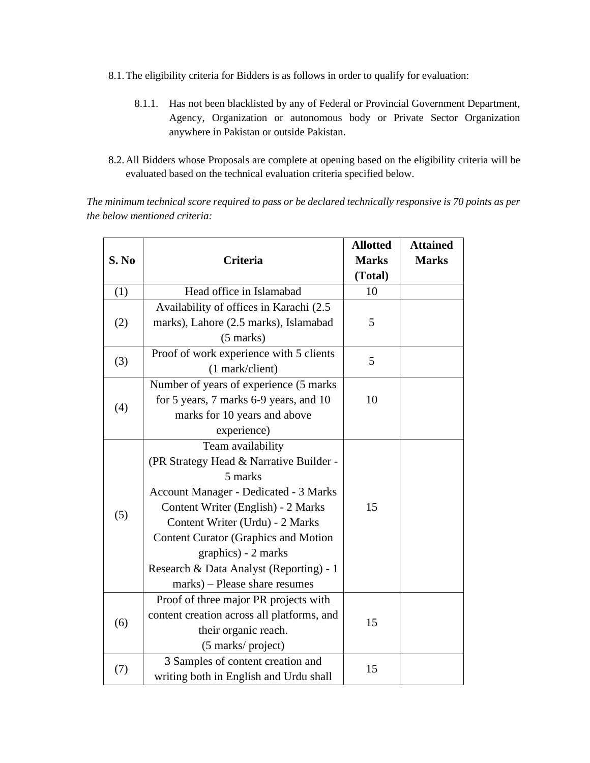- 8.1.The eligibility criteria for Bidders is as follows in order to qualify for evaluation:
	- 8.1.1. Has not been blacklisted by any of Federal or Provincial Government Department, Agency, Organization or autonomous body or Private Sector Organization anywhere in Pakistan or outside Pakistan.
- 8.2.All Bidders whose Proposals are complete at opening based on the eligibility criteria will be evaluated based on the technical evaluation criteria specified below.

*The minimum technical score required to pass or be declared technically responsive is 70 points as per the below mentioned criteria:*

|       |                                              | <b>Allotted</b><br><b>Marks</b> | <b>Attained</b><br><b>Marks</b> |
|-------|----------------------------------------------|---------------------------------|---------------------------------|
| S. No | <b>Criteria</b>                              | (Total)                         |                                 |
| (1)   | Head office in Islamabad                     | 10                              |                                 |
|       | Availability of offices in Karachi (2.5      |                                 |                                 |
| (2)   | marks), Lahore (2.5 marks), Islamabad        | 5                               |                                 |
|       | $(5 \text{ marks})$                          |                                 |                                 |
|       | Proof of work experience with 5 clients      | 5                               |                                 |
| (3)   | (1 mark/client)                              |                                 |                                 |
| (4)   | Number of years of experience (5 marks       |                                 |                                 |
|       | for 5 years, 7 marks 6-9 years, and 10       | 10                              |                                 |
|       | marks for 10 years and above                 |                                 |                                 |
|       | experience)                                  |                                 |                                 |
|       | Team availability                            |                                 |                                 |
|       | (PR Strategy Head & Narrative Builder -      |                                 |                                 |
|       | 5 marks                                      |                                 |                                 |
|       | <b>Account Manager - Dedicated - 3 Marks</b> |                                 |                                 |
|       | Content Writer (English) - 2 Marks           | 15                              |                                 |
| (5)   | Content Writer (Urdu) - 2 Marks              |                                 |                                 |
|       | <b>Content Curator (Graphics and Motion</b>  |                                 |                                 |
|       | graphics) - 2 marks                          |                                 |                                 |
|       | Research & Data Analyst (Reporting) - 1      |                                 |                                 |
|       | marks) – Please share resumes                |                                 |                                 |
|       | Proof of three major PR projects with        |                                 |                                 |
| (6)   | content creation across all platforms, and   | 15                              |                                 |
|       | their organic reach.                         |                                 |                                 |
|       | (5 marks/ project)                           |                                 |                                 |
| (7)   | 3 Samples of content creation and            | 15                              |                                 |
|       | writing both in English and Urdu shall       |                                 |                                 |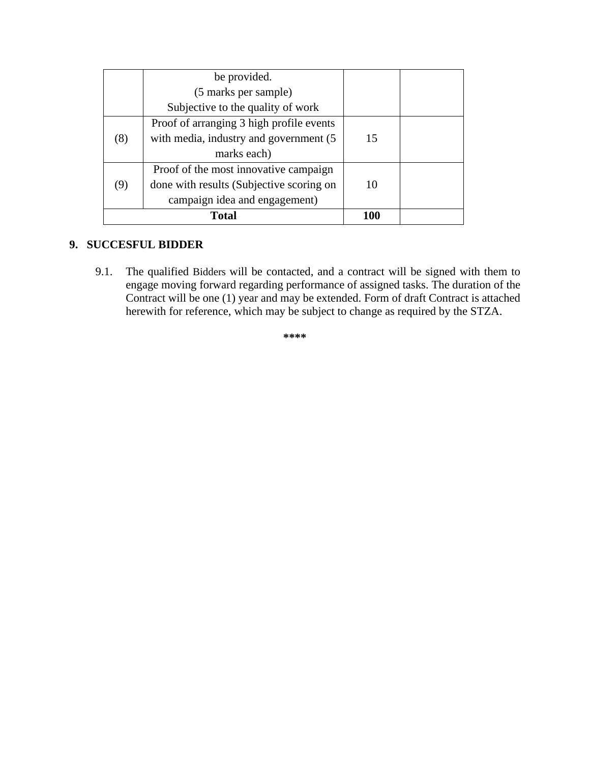|       | be provided.                             |     |  |
|-------|------------------------------------------|-----|--|
|       | (5 marks per sample)                     |     |  |
|       | Subjective to the quality of work        |     |  |
| (8)   | Proof of arranging 3 high profile events |     |  |
|       | with media, industry and government (5)  | 15  |  |
|       | marks each)                              |     |  |
| (9)   | Proof of the most innovative campaign    |     |  |
|       | done with results (Subjective scoring on | 10  |  |
|       | campaign idea and engagement)            |     |  |
| Total |                                          | 100 |  |

### **9. SUCCESFUL BIDDER**

9.1. The qualified Bidders will be contacted, and a contract will be signed with them to engage moving forward regarding performance of assigned tasks. The duration of the Contract will be one (1) year and may be extended. Form of draft Contract is attached herewith for reference, which may be subject to change as required by the STZA.

**\*\*\*\***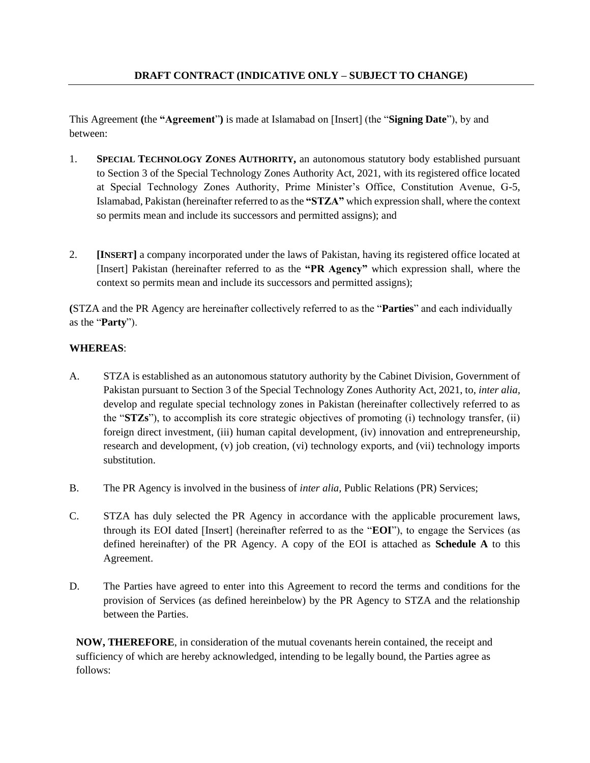This Agreement **(**the **"Agreement**"**)** is made at Islamabad on [Insert] (the "**Signing Date**"), by and between:

- 1. **SPECIAL TECHNOLOGY ZONES AUTHORITY,** an autonomous statutory body established pursuant to Section 3 of the Special Technology Zones Authority Act, 2021, with its registered office located at Special Technology Zones Authority, Prime Minister's Office, Constitution Avenue, G-5, Islamabad, Pakistan (hereinafter referred to as the **"STZA"** which expression shall, where the context so permits mean and include its successors and permitted assigns); and
- 2. **[INSERT]** a company incorporated under the laws of Pakistan, having its registered office located at [Insert] Pakistan (hereinafter referred to as the **"PR Agency"** which expression shall, where the context so permits mean and include its successors and permitted assigns);

**(**STZA and the PR Agency are hereinafter collectively referred to as the "**Parties**" and each individually as the "**Party**").

### **WHEREAS**:

- A. STZA is established as an autonomous statutory authority by the Cabinet Division, Government of Pakistan pursuant to Section 3 of the Special Technology Zones Authority Act, 2021, to, *inter alia,* develop and regulate special technology zones in Pakistan (hereinafter collectively referred to as the "**STZs**"), to accomplish its core strategic objectives of promoting (i) technology transfer, (ii) foreign direct investment, (iii) human capital development, (iv) innovation and entrepreneurship, research and development, (v) job creation, (vi) technology exports, and (vii) technology imports substitution.
- B. The PR Agency is involved in the business of *inter alia,* Public Relations (PR) Services;
- C. STZA has duly selected the PR Agency in accordance with the applicable procurement laws, through its EOI dated [Insert] (hereinafter referred to as the "**EOI**"), to engage the Services (as defined hereinafter) of the PR Agency. A copy of the EOI is attached as **Schedule A** to this Agreement.
- D. The Parties have agreed to enter into this Agreement to record the terms and conditions for the provision of Services (as defined hereinbelow) by the PR Agency to STZA and the relationship between the Parties.

**NOW, THEREFORE**, in consideration of the mutual covenants herein contained, the receipt and sufficiency of which are hereby acknowledged, intending to be legally bound, the Parties agree as follows: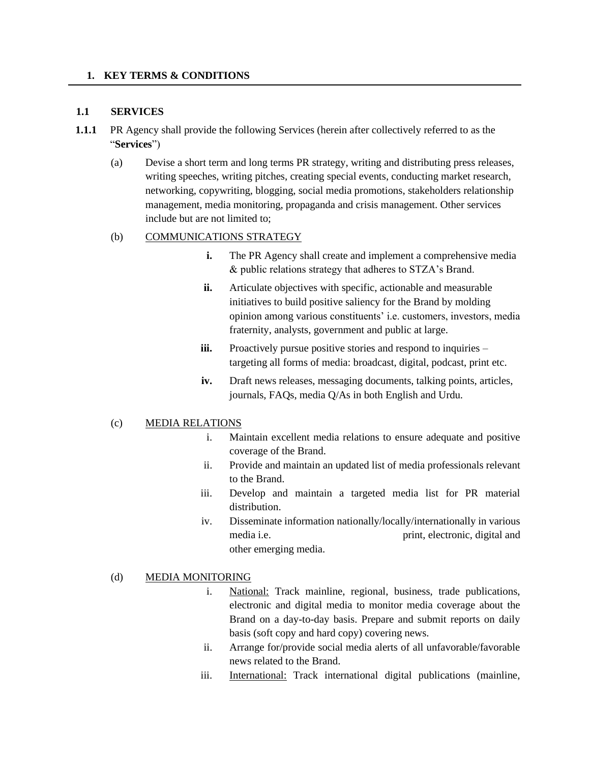#### **1. KEY TERMS & CONDITIONS**

### **1.1 SERVICES**

- **1.1.1** PR Agency shall provide the following Services (herein after collectively referred to as the "**Services**")
	- (a) Devise a short term and long terms PR strategy, writing and distributing press releases, writing speeches, writing pitches, creating special events, conducting market research, networking, copywriting, blogging, social media promotions, stakeholders relationship management, media monitoring, propaganda and crisis management. Other services include but are not limited to;

#### (b) COMMUNICATIONS STRATEGY

- **i.** The PR Agency shall create and implement a comprehensive media & public relations strategy that adheres to STZA's Brand.
- **ii.** Articulate objectives with specific, actionable and measurable initiatives to build positive saliency for the Brand by molding opinion among various constituents' i.e. customers, investors, media fraternity, analysts, government and public at large.
- **iii.** Proactively pursue positive stories and respond to inquiries targeting all forms of media: broadcast, digital, podcast, print etc.
- **iv.** Draft news releases, messaging documents, talking points, articles, journals, FAQs, media Q/As in both English and Urdu.

#### (c) MEDIA RELATIONS

- i. Maintain excellent media relations to ensure adequate and positive coverage of the Brand.
- ii. Provide and maintain an updated list of media professionals relevant to the Brand.
- iii. Develop and maintain a targeted media list for PR material distribution.
- iv. Disseminate information nationally/locally/internationally in various media i.e. print, electronic, digital and other emerging media.

#### (d) MEDIA MONITORING

- i. National: Track mainline, regional, business, trade publications, electronic and digital media to monitor media coverage about the Brand on a day-to-day basis. Prepare and submit reports on daily basis (soft copy and hard copy) covering news.
- ii. Arrange for/provide social media alerts of all unfavorable/favorable news related to the Brand.
- iii. International: Track international digital publications (mainline,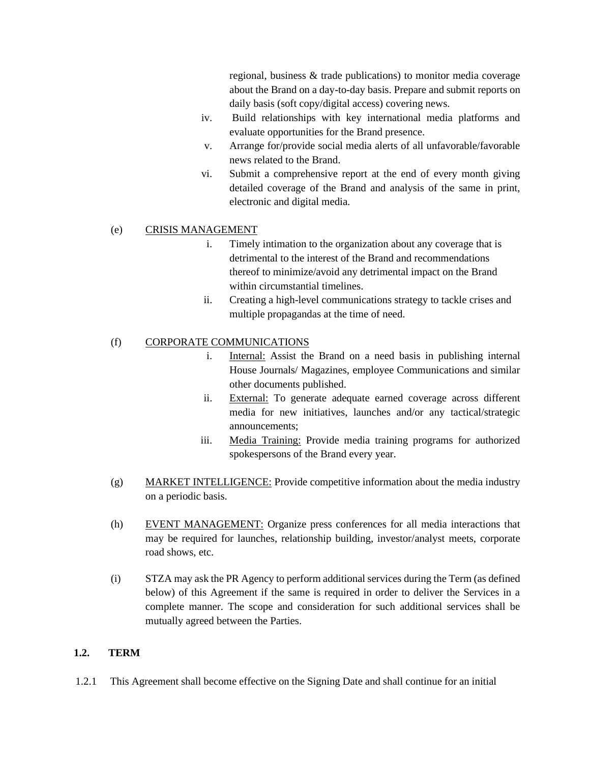regional, business & trade publications) to monitor media coverage about the Brand on a day-to-day basis. Prepare and submit reports on daily basis (soft copy/digital access) covering news.

- iv. Build relationships with key international media platforms and evaluate opportunities for the Brand presence.
- v. Arrange for/provide social media alerts of all unfavorable/favorable news related to the Brand.
- vi. Submit a comprehensive report at the end of every month giving detailed coverage of the Brand and analysis of the same in print, electronic and digital media.

### (e) CRISIS MANAGEMENT

- i. Timely intimation to the organization about any coverage that is detrimental to the interest of the Brand and recommendations thereof to minimize/avoid any detrimental impact on the Brand within circumstantial timelines.
- ii. Creating a high-level communications strategy to tackle crises and multiple propagandas at the time of need.

## (f) CORPORATE COMMUNICATIONS

- i. Internal: Assist the Brand on a need basis in publishing internal House Journals/ Magazines, employee Communications and similar other documents published.
- ii. External: To generate adequate earned coverage across different media for new initiatives, launches and/or any tactical/strategic announcements;
- iii. Media Training: Provide media training programs for authorized spokespersons of the Brand every year.
- (g) MARKET INTELLIGENCE: Provide competitive information about the media industry on a periodic basis.
- (h) EVENT MANAGEMENT: Organize press conferences for all media interactions that may be required for launches, relationship building, investor/analyst meets, corporate road shows, etc.
- (i) STZA may ask the PR Agency to perform additional services during the Term (as defined below) of this Agreement if the same is required in order to deliver the Services in a complete manner. The scope and consideration for such additional services shall be mutually agreed between the Parties.

### **1.2. TERM**

1.2.1 This Agreement shall become effective on the Signing Date and shall continue for an initial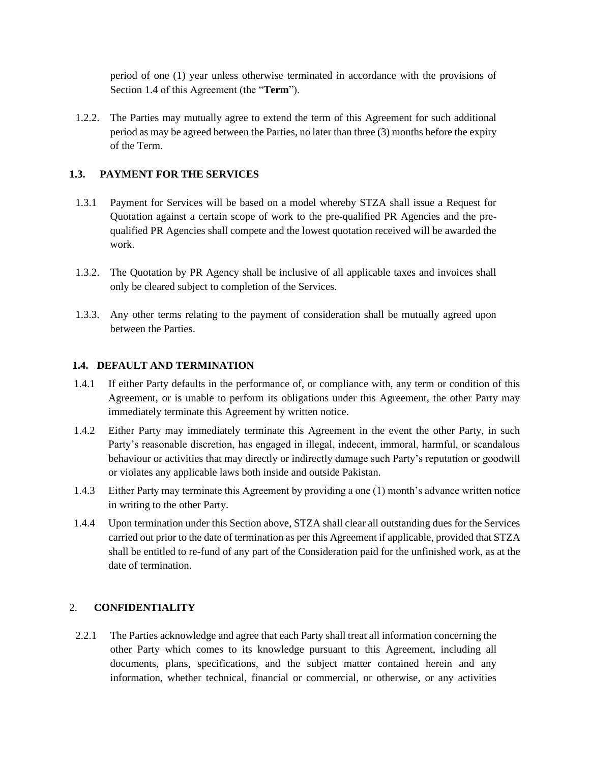period of one (1) year unless otherwise terminated in accordance with the provisions of Section 1.4 of this Agreement (the "**Term**").

1.2.2. The Parties may mutually agree to extend the term of this Agreement for such additional period as may be agreed between the Parties, no later than three (3) months before the expiry of the Term.

### **1.3. PAYMENT FOR THE SERVICES**

- 1.3.1 Payment for Services will be based on a model whereby STZA shall issue a Request for Quotation against a certain scope of work to the pre-qualified PR Agencies and the prequalified PR Agencies shall compete and the lowest quotation received will be awarded the work.
- 1.3.2. The Quotation by PR Agency shall be inclusive of all applicable taxes and invoices shall only be cleared subject to completion of the Services.
- 1.3.3. Any other terms relating to the payment of consideration shall be mutually agreed upon between the Parties.

#### **1.4. DEFAULT AND TERMINATION**

- 1.4.1 If either Party defaults in the performance of, or compliance with, any term or condition of this Agreement, or is unable to perform its obligations under this Agreement, the other Party may immediately terminate this Agreement by written notice.
- 1.4.2 Either Party may immediately terminate this Agreement in the event the other Party, in such Party's reasonable discretion, has engaged in illegal, indecent, immoral, harmful, or scandalous behaviour or activities that may directly or indirectly damage such Party's reputation or goodwill or violates any applicable laws both inside and outside Pakistan.
- 1.4.3 Either Party may terminate this Agreement by providing a one (1) month's advance written notice in writing to the other Party.
- 1.4.4 Upon termination under this Section above, STZA shall clear all outstanding dues for the Services carried out prior to the date of termination as per this Agreement if applicable, provided that STZA shall be entitled to re-fund of any part of the Consideration paid for the unfinished work, as at the date of termination.

#### 2. **CONFIDENTIALITY**

2.2.1 The Parties acknowledge and agree that each Party shall treat all information concerning the other Party which comes to its knowledge pursuant to this Agreement, including all documents, plans, specifications, and the subject matter contained herein and any information, whether technical, financial or commercial, or otherwise, or any activities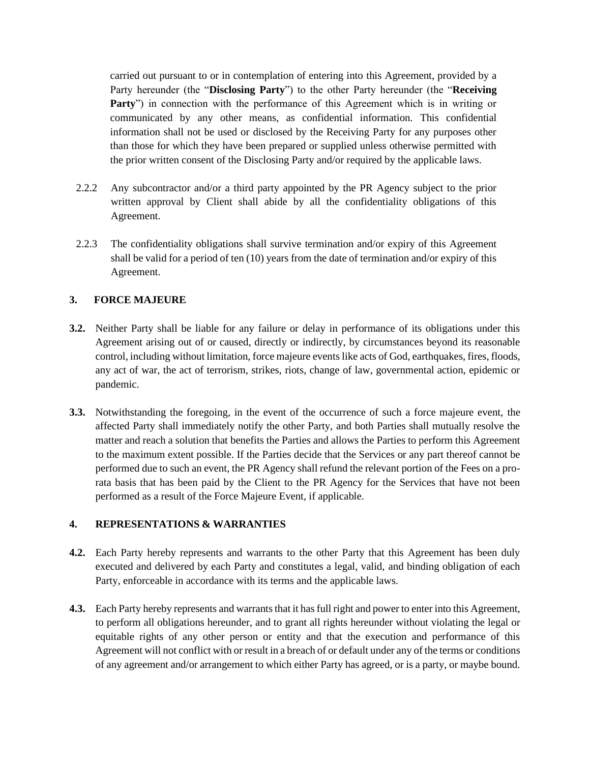carried out pursuant to or in contemplation of entering into this Agreement, provided by a Party hereunder (the "**Disclosing Party**") to the other Party hereunder (the "**Receiving Party**") in connection with the performance of this Agreement which is in writing or communicated by any other means, as confidential information. This confidential information shall not be used or disclosed by the Receiving Party for any purposes other than those for which they have been prepared or supplied unless otherwise permitted with the prior written consent of the Disclosing Party and/or required by the applicable laws.

- 2.2.2 Any subcontractor and/or a third party appointed by the PR Agency subject to the prior written approval by Client shall abide by all the confidentiality obligations of this Agreement.
- 2.2.3 The confidentiality obligations shall survive termination and/or expiry of this Agreement shall be valid for a period of ten (10) years from the date of termination and/or expiry of this Agreement.

### **3. FORCE MAJEURE**

- **3.2.** Neither Party shall be liable for any failure or delay in performance of its obligations under this Agreement arising out of or caused, directly or indirectly, by circumstances beyond its reasonable control, including without limitation, force majeure events like acts of God, earthquakes, fires, floods, any act of war, the act of terrorism, strikes, riots, change of law, governmental action, epidemic or pandemic.
- **3.3.** Notwithstanding the foregoing, in the event of the occurrence of such a force majeure event, the affected Party shall immediately notify the other Party, and both Parties shall mutually resolve the matter and reach a solution that benefits the Parties and allows the Parties to perform this Agreement to the maximum extent possible. If the Parties decide that the Services or any part thereof cannot be performed due to such an event, the PR Agency shall refund the relevant portion of the Fees on a prorata basis that has been paid by the Client to the PR Agency for the Services that have not been performed as a result of the Force Majeure Event, if applicable.

### **4. REPRESENTATIONS & WARRANTIES**

- **4.2.** Each Party hereby represents and warrants to the other Party that this Agreement has been duly executed and delivered by each Party and constitutes a legal, valid, and binding obligation of each Party, enforceable in accordance with its terms and the applicable laws.
- **4.3.** Each Party hereby represents and warrants that it has full right and power to enter into this Agreement, to perform all obligations hereunder, and to grant all rights hereunder without violating the legal or equitable rights of any other person or entity and that the execution and performance of this Agreement will not conflict with or result in a breach of or default under any of the terms or conditions of any agreement and/or arrangement to which either Party has agreed, or is a party, or maybe bound.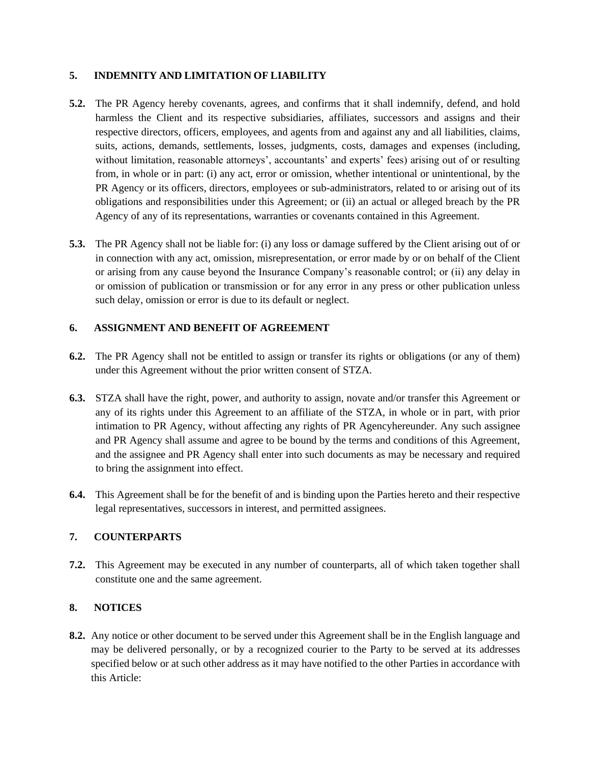#### **5. INDEMNITY AND LIMITATION OF LIABILITY**

- **5.2.** The PR Agency hereby covenants, agrees, and confirms that it shall indemnify, defend, and hold harmless the Client and its respective subsidiaries, affiliates, successors and assigns and their respective directors, officers, employees, and agents from and against any and all liabilities, claims, suits, actions, demands, settlements, losses, judgments, costs, damages and expenses (including, without limitation, reasonable attorneys', accountants' and experts' fees) arising out of or resulting from, in whole or in part: (i) any act, error or omission, whether intentional or unintentional, by the PR Agency or its officers, directors, employees or sub-administrators, related to or arising out of its obligations and responsibilities under this Agreement; or (ii) an actual or alleged breach by the PR Agency of any of its representations, warranties or covenants contained in this Agreement.
- **5.3.** The PR Agency shall not be liable for: (i) any loss or damage suffered by the Client arising out of or in connection with any act, omission, misrepresentation, or error made by or on behalf of the Client or arising from any cause beyond the Insurance Company's reasonable control; or (ii) any delay in or omission of publication or transmission or for any error in any press or other publication unless such delay, omission or error is due to its default or neglect.

### **6. ASSIGNMENT AND BENEFIT OF AGREEMENT**

- **6.2.** The PR Agency shall not be entitled to assign or transfer its rights or obligations (or any of them) under this Agreement without the prior written consent of STZA.
- **6.3.** STZA shall have the right, power, and authority to assign, novate and/or transfer this Agreement or any of its rights under this Agreement to an affiliate of the STZA, in whole or in part, with prior intimation to PR Agency, without affecting any rights of PR Agencyhereunder. Any such assignee and PR Agency shall assume and agree to be bound by the terms and conditions of this Agreement, and the assignee and PR Agency shall enter into such documents as may be necessary and required to bring the assignment into effect.
- **6.4.** This Agreement shall be for the benefit of and is binding upon the Parties hereto and their respective legal representatives, successors in interest, and permitted assignees.

### **7. COUNTERPARTS**

**7.2.** This Agreement may be executed in any number of counterparts, all of which taken together shall constitute one and the same agreement.

### **8. NOTICES**

**8.2.** Any notice or other document to be served under this Agreement shall be in the English language and may be delivered personally, or by a recognized courier to the Party to be served at its addresses specified below or at such other address as it may have notified to the other Parties in accordance with this Article: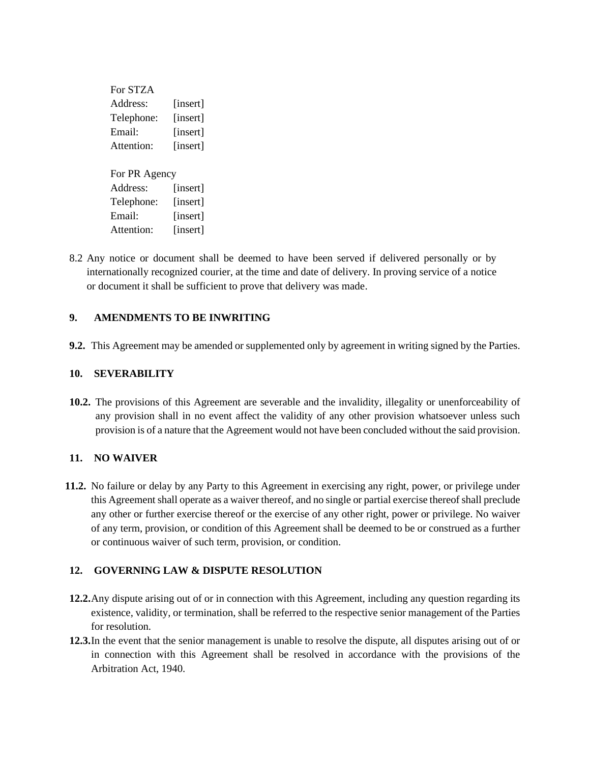| For STZA             |          |  |  |  |
|----------------------|----------|--|--|--|
| Address <sup>.</sup> | [insert] |  |  |  |
| Telephone:           | [insert] |  |  |  |
| Email:               | [insert] |  |  |  |
| Attention:           | [insert] |  |  |  |
|                      |          |  |  |  |
| For PR Agency        |          |  |  |  |
| Address:             | [insert] |  |  |  |
| Telephone:           | [insert] |  |  |  |
| Email:               | [insert] |  |  |  |
| Attention:           | [insert] |  |  |  |

8.2 Any notice or document shall be deemed to have been served if delivered personally or by internationally recognized courier, at the time and date of delivery. In proving service of a notice or document it shall be sufficient to prove that delivery was made.

### **9. AMENDMENTS TO BE INWRITING**

**9.2.** This Agreement may be amended or supplemented only by agreement in writing signed by the Parties.

### **10. SEVERABILITY**

**10.2.** The provisions of this Agreement are severable and the invalidity, illegality or unenforceability of any provision shall in no event affect the validity of any other provision whatsoever unless such provision is of a nature that the Agreement would not have been concluded without the said provision.

### **11. NO WAIVER**

**11.2.** No failure or delay by any Party to this Agreement in exercising any right, power, or privilege under this Agreement shall operate as a waiver thereof, and no single or partial exercise thereof shall preclude any other or further exercise thereof or the exercise of any other right, power or privilege. No waiver of any term, provision, or condition of this Agreement shall be deemed to be or construed as a further or continuous waiver of such term, provision, or condition.

### **12. GOVERNING LAW & DISPUTE RESOLUTION**

- **12.2.**Any dispute arising out of or in connection with this Agreement, including any question regarding its existence, validity, or termination, shall be referred to the respective senior management of the Parties for resolution.
- **12.3.**In the event that the senior management is unable to resolve the dispute, all disputes arising out of or in connection with this Agreement shall be resolved in accordance with the provisions of the Arbitration Act, 1940.